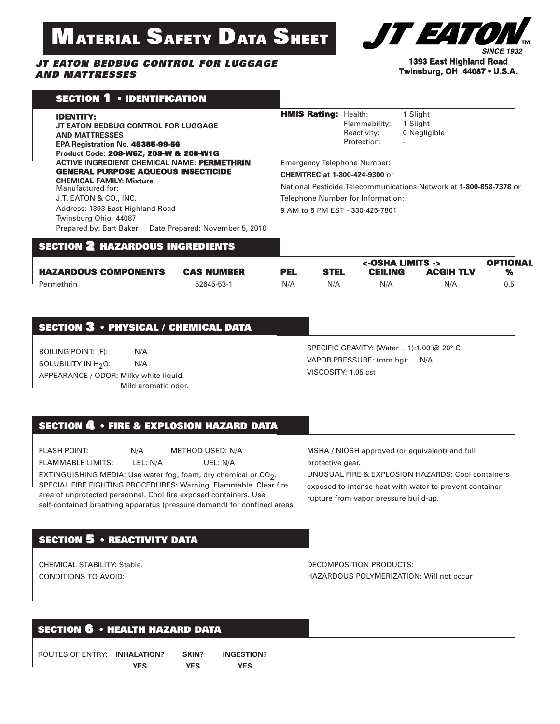# **MATERIAL SAFETY DATA SHEET**

#### *JT EATON BEDBUG CONTROL FOR LUGGAGE AND MATTRESSES*



#### **1393 East Highland Road Twinsburg, OH 44087 • U.S.A.**

|  | <b>SECTION 1 • IDENTIFICATION</b> |  |
|--|-----------------------------------|--|
|--|-----------------------------------|--|

| <b>IDENTITY:</b><br>JT EATON BEDBUG CONTROL FOR LUGGAGE<br><b>AND MATTRESSES</b><br>EPA Registration No. 45385-99-56<br>Product Code: 208-W6Z, 208-W & 208-W1G                     | <b>HMIS Rating: Health:</b><br>1 Slight<br>Flammability:<br>1 Slight<br>Reactivity:<br>0 Negligible<br>Protection:<br>$\overline{a}$             |  |
|------------------------------------------------------------------------------------------------------------------------------------------------------------------------------------|--------------------------------------------------------------------------------------------------------------------------------------------------|--|
| <b>ACTIVE INGREDIENT CHEMICAL NAME: PERMETHRIN</b><br><b>GENERAL PURPOSE AQUEOUS INSECTICIDE</b><br><b>CHEMICAL FAMILY: Mixture</b><br>Manufactured for:<br>J.T. EATON & CO., INC. | <b>Emergency Telephone Number:</b><br><b>CHEMTREC at 1-800-424-9300 or</b><br>National Pesticide Telecommunications Network at 1-800-858-7378 or |  |
| Address: 1393 East Highland Road<br>Twinsburg Ohio 44087<br>Prepared by: Bart Baker<br>Date Prepared: November 5, 2010                                                             | Telephone Number for Information:<br>9 AM to 5 PM EST - 330-425-7801                                                                             |  |

# **SECTION 2 HAZARDOUS INGREDIENTS**

|                             |                   |            |             | <-OSHA LIMITS -> |                  | <b>OPTIONAL</b>            |
|-----------------------------|-------------------|------------|-------------|------------------|------------------|----------------------------|
| <b>HAZARDOUS COMPONENTS</b> | <b>CAS NUMBER</b> | <b>PEL</b> | <b>STEL</b> | <b>CEILING</b>   | <b>ACGIH TLV</b> | $\mathcal{N}_{\mathbf{a}}$ |
| Permethrin                  | 52645-53-1        | N/A        | N/A         | N/A              | N/A              | 0.5                        |

### **SECTION 3 • PHYSICAL / CHEMICAL DATA**

BOILING POINT: (F): N/A SOLUBILITY IN H<sub>2</sub>O: N/A APPEARANCE / ODOR: Milky white liquid. Mild aromatic odor. SPECIFIC GRAVITY: (Water = 1):1.00 @ 20° C VAPOR PRESSURE: (mm hg): N/A VISCOSITY: 1.05 cst

# **SECTION 4 • FIRE & EXPLOSION HAZARD DATA**

FLASH POINT: N/A METHOD USED: N/A FLAMMABLE LIMITS: LEL: N/A UEL: N/A EXTINGUISHING MEDIA: Use water fog, foam, dry chemical or CO<sub>2</sub>. SPECIAL FIRE FIGHTING PROCEDURES: Warning. Flammable. Clear fire area of unprotected personnel. Cool fire exposed containers. Use self-contained breathing apparatus (pressure demand) for confined areas.

MSHA / NIOSH approved (or equivalent) and full protective gear. UNUSUAL FIRE & EXPLOSION HAZARDS: Cool containers

exposed to intense heat with water to prevent container rupture from vapor pressure build-up.

# **SECTION 5 • REACTIVITY DATA**

CHEMICAL STABILITY: Stable. CONDITIONS TO AVOID:

DECOMPOSITION PRODUCTS: HAZARDOUS POLYMERIZATION: Will not occur

### **SECTION 6 • HEALTH HAZARD DATA**

| ROUTES OF ENTRY: INHALATION? |            | SKIN?      | <b>INGESTION?</b> |  |
|------------------------------|------------|------------|-------------------|--|
|                              | <b>YES</b> | <b>YES</b> | <b>YES</b>        |  |